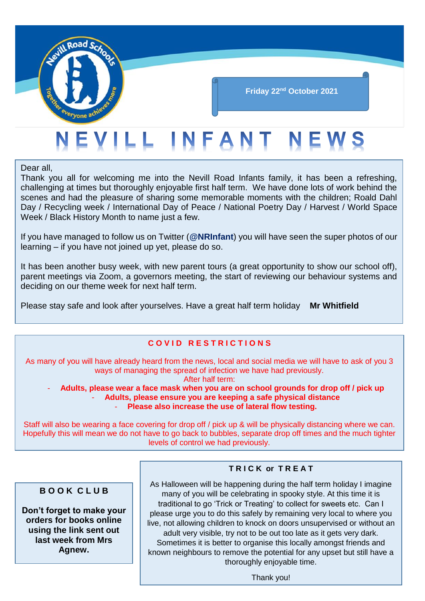

## **Friday 22nd October 2021**

# EVILL INFANT NEWS

Dear all,

Thank you all for welcoming me into the Nevill Road Infants family, it has been a refreshing, challenging at times but thoroughly enjoyable first half term. We have done lots of work behind the scenes and had the pleasure of sharing some memorable moments with the children; Roald Dahl Day / Recycling week / International Day of Peace / National Poetry Day / Harvest / World Space Week / Black History Month to name just a few.

If you have managed to follow us on Twitter (**@NRInfant**) you will have seen the super photos of our learning – if you have not joined up yet, please do so.

It has been another busy week, with new parent tours (a great opportunity to show our school off), parent meetings via Zoom, a governors meeting, the start of reviewing our behaviour systems and deciding on our theme week for next half term.

Please stay safe and look after yourselves. Have a great half term holiday **Mr Whitfield**

### **C O V I D R E S T R I C T I O N S**

As many of you will have already heard from the news, local and social media we will have to ask of you 3 ways of managing the spread of infection we have had previously. After half term:

- **Adults, please wear a face mask when you are on school grounds for drop off / pick up** - **Adults, please ensure you are keeping a safe physical distance** - **Please also increase the use of lateral flow testing.**

Staff will also be wearing a face covering for drop off / pick up & will be physically distancing where we can. Hopefully this will mean we do not have to go back to bubbles, separate drop off times and the much tighter levels of control we had previously.

#### **B O O K C L U B**

**Don't forget to make your orders for books online using the link sent out last week from Mrs Agnew.**

#### **T R I C K or T R E A T**

As Halloween will be happening during the half term holiday I imagine many of you will be celebrating in spooky style. At this time it is traditional to go 'Trick or Treating' to collect for sweets etc. Can I please urge you to do this safely by remaining very local to where you live, not allowing children to knock on doors unsupervised or without an adult very visible, try not to be out too late as it gets very dark. Sometimes it is better to organise this locally amongst friends and known neighbours to remove the potential for any upset but still have a

Thank you!

thoroughly enjoyable time.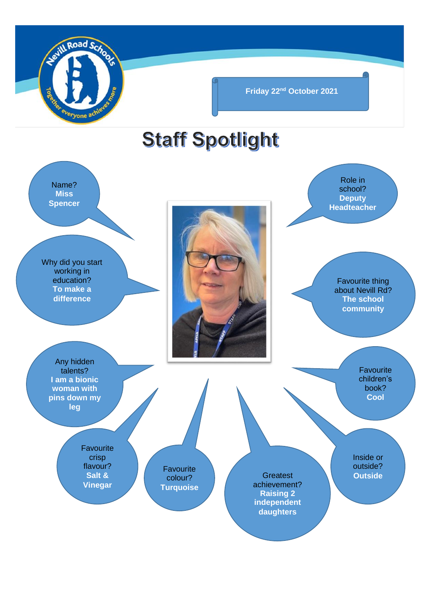

**Friday 22nd October 2021**

# **Staff Spotlight**

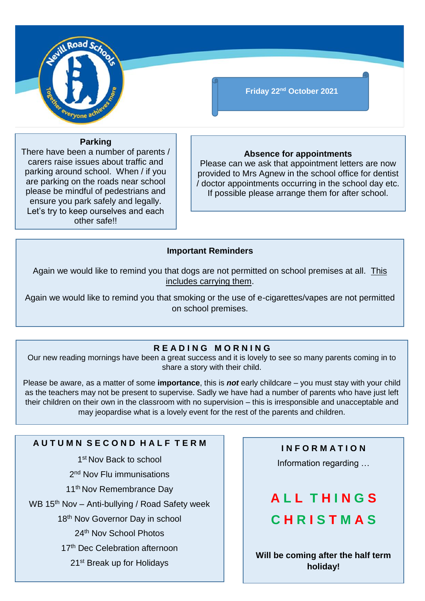

## **Friday 22nd October 2021**

#### **Parking**

There have been a number of parents / carers raise issues about traffic and parking around school. When / if you are parking on the roads near school please be mindful of pedestrians and ensure you park safely and legally. Let's try to keep ourselves and each other safe!!

#### **Absence for appointments**

Please can we ask that appointment letters are now provided to Mrs Agnew in the school office for dentist / doctor appointments occurring in the school day etc. If possible please arrange them for after school.

#### **Important Reminders**

Again we would like to remind you that dogs are not permitted on school premises at all. This includes carrying them.

Again we would like to remind you that smoking or the use of e-cigarettes/vapes are not permitted on school premises.

### **R E A D I N G M O R N I N G**

Our new reading mornings have been a great success and it is lovely to see so many parents coming in to share a story with their child.

Please be aware, as a matter of some **importance**, this is *not* early childcare – you must stay with your child as the teachers may not be present to supervise. Sadly we have had a number of parents who have just left their children on their own in the classroom with no supervision – this is irresponsible and unacceptable and may jeopardise what is a lovely event for the rest of the parents and children.

## **A U T U M N S E C O N D H A L F T E R M**

1st Nov Back to school

2<sup>nd</sup> Nov Flu immunisations

11<sup>th</sup> Nov Remembrance Day

WB 15<sup>th</sup> Nov - Anti-bullying / Road Safety week

18<sup>th</sup> Nov Governor Day in school

24th Nov School Photos

17<sup>th</sup> Dec Celebration afternoon

21st Break up for Holidays

## **I N F O R M A T I O N**

Information regarding …

## **A L L T H I N G S C H R I S T M A S**

**Will be coming after the half term holiday!**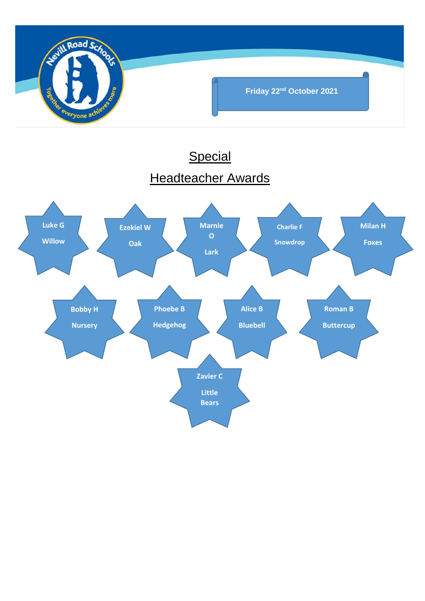

## **Special** Headteacher Awards